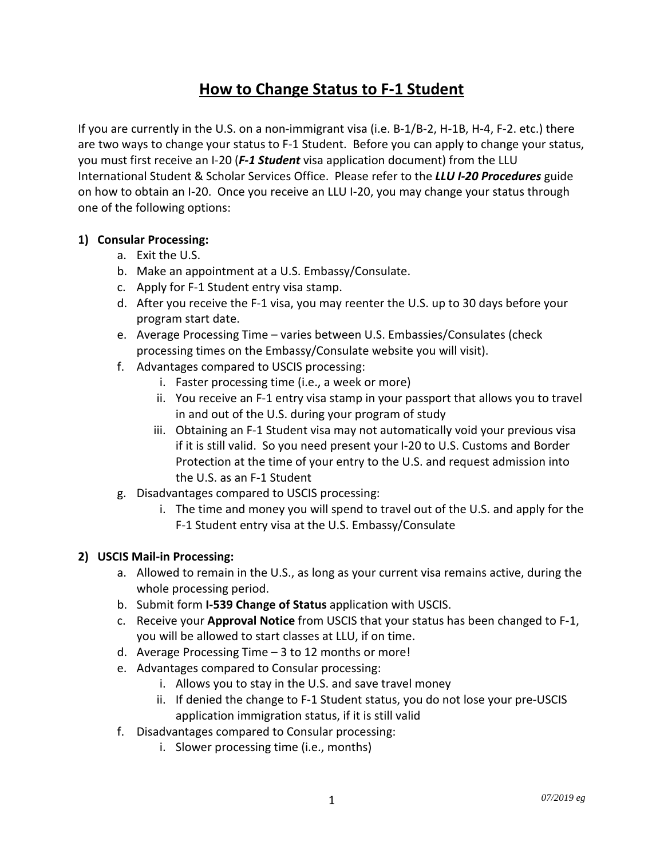## **How to Change Status to F-1 Student**

If you are currently in the U.S. on a non-immigrant visa (i.e. B-1/B-2, H-1B, H-4, F-2. etc.) there are two ways to change your status to F-1 Student. Before you can apply to change your status, you must first receive an I-20 (*F-1 Student* visa application document) from the LLU International Student & Scholar Services Office. Please refer to the *LLU I-20 Procedures* guide on how to obtain an I-20. Once you receive an LLU I-20, you may change your status through one of the following options:

## **1) Consular Processing:**

- a. Exit the U.S.
- b. Make an appointment at a U.S. Embassy/Consulate.
- c. Apply for F-1 Student entry visa stamp.
- d. After you receive the F-1 visa, you may reenter the U.S. up to 30 days before your program start date.
- e. Average Processing Time varies between U.S. Embassies/Consulates (check processing times on the Embassy/Consulate website you will visit).
- f. Advantages compared to USCIS processing:
	- i. Faster processing time (i.e., a week or more)
	- ii. You receive an F-1 entry visa stamp in your passport that allows you to travel in and out of the U.S. during your program of study
	- iii. Obtaining an F-1 Student visa may not automatically void your previous visa if it is still valid. So you need present your I-20 to U.S. Customs and Border Protection at the time of your entry to the U.S. and request admission into the U.S. as an F-1 Student
- g. Disadvantages compared to USCIS processing:
	- i. The time and money you will spend to travel out of the U.S. and apply for the F-1 Student entry visa at the U.S. Embassy/Consulate

## **2) USCIS Mail-in Processing:**

- a. Allowed to remain in the U.S., as long as your current visa remains active, during the whole processing period.
- b. Submit form **I-539 Change of Status** application with USCIS.
- c. Receive your **Approval Notice** from USCIS that your status has been changed to F-1, you will be allowed to start classes at LLU, if on time.
- d. Average Processing Time 3 to 12 months or more!
- e. Advantages compared to Consular processing:
	- i. Allows you to stay in the U.S. and save travel money
	- ii. If denied the change to F-1 Student status, you do not lose your pre-USCIS application immigration status, if it is still valid
- f. Disadvantages compared to Consular processing:
	- i. Slower processing time (i.e., months)